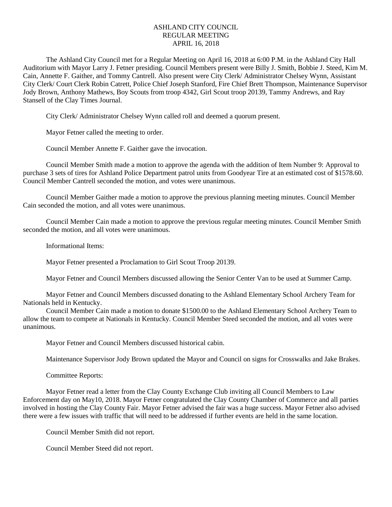## ASHLAND CITY COUNCIL REGULAR MEETING APRIL 16, 2018

The Ashland City Council met for a Regular Meeting on April 16, 2018 at 6:00 P.M. in the Ashland City Hall Auditorium with Mayor Larry J. Fetner presiding. Council Members present were Billy J. Smith, Bobbie J. Steed, Kim M. Cain, Annette F. Gaither, and Tommy Cantrell. Also present were City Clerk/ Administrator Chelsey Wynn, Assistant City Clerk/ Court Clerk Robin Catrett, Police Chief Joseph Stanford, Fire Chief Brett Thompson, Maintenance Supervisor Jody Brown, Anthony Mathews, Boy Scouts from troop 4342, Girl Scout troop 20139, Tammy Andrews, and Ray Stansell of the Clay Times Journal.

City Clerk/ Administrator Chelsey Wynn called roll and deemed a quorum present.

Mayor Fetner called the meeting to order.

Council Member Annette F. Gaither gave the invocation.

Council Member Smith made a motion to approve the agenda with the addition of Item Number 9: Approval to purchase 3 sets of tires for Ashland Police Department patrol units from Goodyear Tire at an estimated cost of \$1578.60. Council Member Cantrell seconded the motion, and votes were unanimous.

Council Member Gaither made a motion to approve the previous planning meeting minutes. Council Member Cain seconded the motion, and all votes were unanimous.

Council Member Cain made a motion to approve the previous regular meeting minutes. Council Member Smith seconded the motion, and all votes were unanimous.

Informational Items:

Mayor Fetner presented a Proclamation to Girl Scout Troop 20139.

Mayor Fetner and Council Members discussed allowing the Senior Center Van to be used at Summer Camp.

Mayor Fetner and Council Members discussed donating to the Ashland Elementary School Archery Team for Nationals held in Kentucky.

Council Member Cain made a motion to donate \$1500.00 to the Ashland Elementary School Archery Team to allow the team to compete at Nationals in Kentucky. Council Member Steed seconded the motion, and all votes were unanimous.

Mayor Fetner and Council Members discussed historical cabin.

Maintenance Supervisor Jody Brown updated the Mayor and Council on signs for Crosswalks and Jake Brakes.

Committee Reports:

Mayor Fetner read a letter from the Clay County Exchange Club inviting all Council Members to Law Enforcement day on May10, 2018. Mayor Fetner congratulated the Clay County Chamber of Commerce and all parties involved in hosting the Clay County Fair. Mayor Fetner advised the fair was a huge success. Mayor Fetner also advised there were a few issues with traffic that will need to be addressed if further events are held in the same location.

Council Member Smith did not report.

Council Member Steed did not report.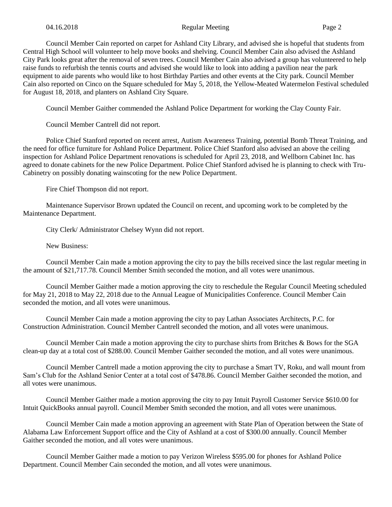Council Member Cain reported on carpet for Ashland City Library, and advised she is hopeful that students from Central High School will volunteer to help move books and shelving. Council Member Cain also advised the Ashland City Park looks great after the removal of seven trees. Council Member Cain also advised a group has volunteered to help raise funds to refurbish the tennis courts and advised she would like to look into adding a pavilion near the park equipment to aide parents who would like to host Birthday Parties and other events at the City park. Council Member Cain also reported on Cinco on the Square scheduled for May 5, 2018, the Yellow-Meated Watermelon Festival scheduled for August 18, 2018, and planters on Ashland City Square.

Council Member Gaither commended the Ashland Police Department for working the Clay County Fair.

Council Member Cantrell did not report.

Police Chief Stanford reported on recent arrest, Autism Awareness Training, potential Bomb Threat Training, and the need for office furniture for Ashland Police Department. Police Chief Stanford also advised an above the ceiling inspection for Ashland Police Department renovations is scheduled for April 23, 2018, and Wellborn Cabinet Inc. has agreed to donate cabinets for the new Police Department. Police Chief Stanford advised he is planning to check with Tru-Cabinetry on possibly donating wainscoting for the new Police Department.

Fire Chief Thompson did not report.

Maintenance Supervisor Brown updated the Council on recent, and upcoming work to be completed by the Maintenance Department.

City Clerk/ Administrator Chelsey Wynn did not report.

New Business:

Council Member Cain made a motion approving the city to pay the bills received since the last regular meeting in the amount of \$21,717.78. Council Member Smith seconded the motion, and all votes were unanimous.

Council Member Gaither made a motion approving the city to reschedule the Regular Council Meeting scheduled for May 21, 2018 to May 22, 2018 due to the Annual League of Municipalities Conference. Council Member Cain seconded the motion, and all votes were unanimous.

Council Member Cain made a motion approving the city to pay Lathan Associates Architects, P.C. for Construction Administration. Council Member Cantrell seconded the motion, and all votes were unanimous.

Council Member Cain made a motion approving the city to purchase shirts from Britches & Bows for the SGA clean-up day at a total cost of \$288.00. Council Member Gaither seconded the motion, and all votes were unanimous.

Council Member Cantrell made a motion approving the city to purchase a Smart TV, Roku, and wall mount from Sam's Club for the Ashland Senior Center at a total cost of \$478.86. Council Member Gaither seconded the motion, and all votes were unanimous.

Council Member Gaither made a motion approving the city to pay Intuit Payroll Customer Service \$610.00 for Intuit QuickBooks annual payroll. Council Member Smith seconded the motion, and all votes were unanimous.

Council Member Cain made a motion approving an agreement with State Plan of Operation between the State of Alabama Law Enforcement Support office and the City of Ashland at a cost of \$300.00 annually. Council Member Gaither seconded the motion, and all votes were unanimous.

Council Member Gaither made a motion to pay Verizon Wireless \$595.00 for phones for Ashland Police Department. Council Member Cain seconded the motion, and all votes were unanimous.